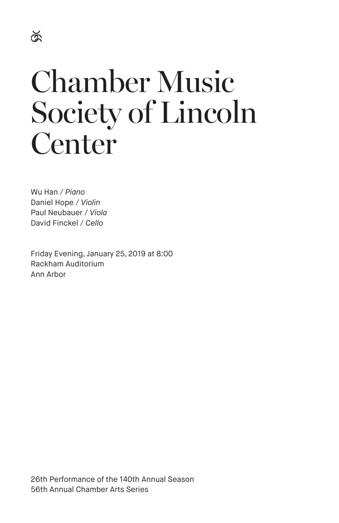# Chamber Music Society of Lincoln Center

Wu Han / *Piano* Daniel Hope / *Violin* Paul Neubauer / *Viola* David Finckel / *Cello*

Friday Evening, January 25, 2019 at 8:00 Rackham Auditorium Ann Arbor

26th Performance of the 140th Annual Season 56th Annual Chamber Arts Series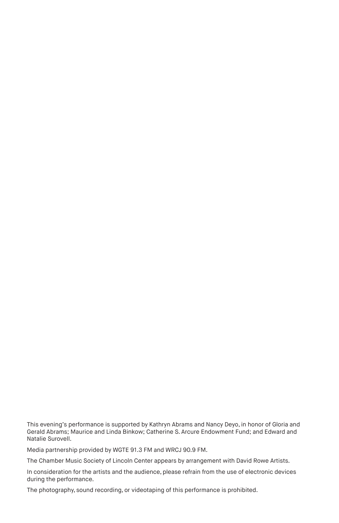This evening's performance is supported by Kathryn Abrams and Nancy Deyo, in honor of Gloria and Gerald Abrams; Maurice and Linda Binkow; Catherine S. Arcure Endowment Fund; and Edward and Natalie Surovell.

Media partnership provided by WGTE 91.3 FM and WRCJ 90.9 FM.

The Chamber Music Society of Lincoln Center appears by arrangement with David Rowe Artists.

In consideration for the artists and the audience, please refrain from the use of electronic devices during the performance.

The photography, sound recording, or videotaping of this performance is prohibited.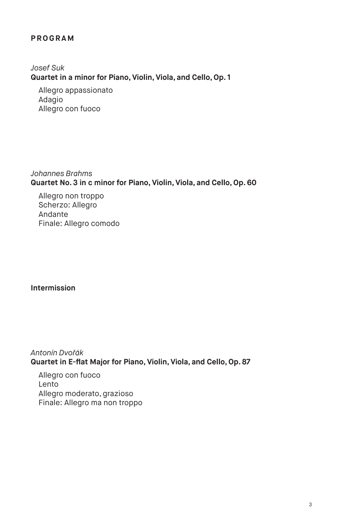# **PROGRAM**

*Josef Suk* **Quartet in a minor for Piano, Violin, Viola, and Cello, Op. 1**

Allegro appassionato Adagio Allegro con fuoco

*Johannes Brahms* **Quartet No. 3 in c minor for Piano, Violin, Viola, and Cello, Op. 60**

Allegro non troppo Scherzo: Allegro Andante Finale: Allegro comodo

**Intermission** 

*Antonín Dvořák* **Quartet in E-flat Major for Piano, Violin, Viola, and Cello, Op. 87**

Allegro con fuoco Lento Allegro moderato, grazioso Finale: Allegro ma non troppo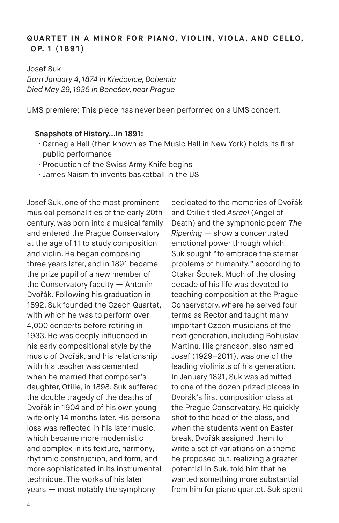# **QUARTET IN A MINOR FOR PIANO, VIOLIN, VIOLA, AND CELLO, O P. 1 ( 1 8 9 1 )**

Josef Suk *Born January 4, 1874 in Křečovice, Bohemia Died May 29, 1935 in Benešov, near Prague*

UMS premiere: This piece has never been performed on a UMS concert.

#### **Snapshots of History…In 1891:**

- · Carnegie Hall (then known as The Music Hall in New York) holds its first public performance
- · Production of the Swiss Army Knife begins
- · James Naismith invents basketball in the US

Josef Suk, one of the most prominent musical personalities of the early 20th century, was born into a musical family and entered the Prague Conservatory at the age of 11 to study composition and violin. He began composing three years later, and in 1891 became the prize pupil of a new member of the Conservatory faculty — Antonín Dvořák. Following his graduation in 1892, Suk founded the Czech Quartet, with which he was to perform over 4,000 concerts before retiring in 1933. He was deeply influenced in his early compositional style by the music of Dvořák, and his relationship with his teacher was cemented when he married that composer's daughter, Otilie, in 1898. Suk suffered the double tragedy of the deaths of Dvořák in 1904 and of his own young wife only 14 months later. His personal loss was reflected in his later music, which became more modernistic and complex in its texture, harmony, rhythmic construction, and form, and more sophisticated in its instrumental technique. The works of his later years — most notably the symphony

dedicated to the memories of Dvořák and Otilie titled *Asrael* (Angel of Death) and the symphonic poem *The Ripening* — show a concentrated emotional power through which Suk sought "to embrace the sterner problems of humanity," according to Otakar Šourek. Much of the closing decade of his life was devoted to teaching composition at the Prague Conservatory, where he served four terms as Rector and taught many important Czech musicians of the next generation, including Bohuslav Martinů. His grandson, also named Josef (1929–2011), was one of the leading violinists of his generation. In January 1891, Suk was admitted to one of the dozen prized places in Dvořák's first composition class at the Prague Conservatory. He quickly shot to the head of the class, and when the students went on Easter break, Dvořák assigned them to write a set of variations on a theme he proposed but, realizing a greater potential in Suk, told him that he wanted something more substantial from him for piano quartet. Suk spent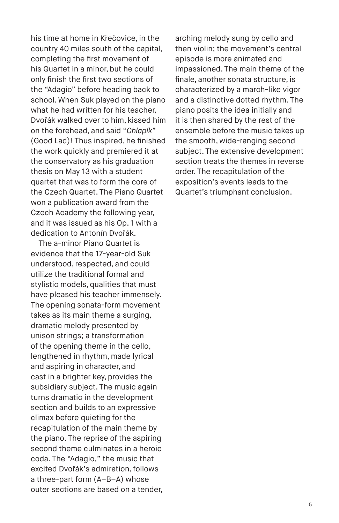his time at home in Křečovice, in the country 40 miles south of the capital, completing the first movement of his Quartet in a minor, but he could only finish the first two sections of the "Adagio" before heading back to school. When Suk played on the piano what he had written for his teacher. Dvořák walked over to him, kissed him on the forehead, and said "*Chlapík*" (Good Lad)! Thus inspired, he finished the work quickly and premiered it at the conservatory as his graduation thesis on May 13 with a student quartet that was to form the core of the Czech Quartet. The Piano Quartet won a publication award from the Czech Academy the following year, and it was issued as his Op. 1 with a dedication to Antonín Dvořák.

The a-minor Piano Quartet is evidence that the 17-year-old Suk understood, respected, and could utilize the traditional formal and stylistic models, qualities that must have pleased his teacher immensely. The opening sonata-form movement takes as its main theme a surging, dramatic melody presented by unison strings; a transformation of the opening theme in the cello, lengthened in rhythm, made lyrical and aspiring in character, and cast in a brighter key, provides the subsidiary subject. The music again turns dramatic in the development section and builds to an expressive climax before quieting for the recapitulation of the main theme by the piano. The reprise of the aspiring second theme culminates in a heroic coda. The "Adagio," the music that excited Dvořák's admiration, follows a three-part form (A–B–A) whose outer sections are based on a tender, arching melody sung by cello and then violin; the movement's central episode is more animated and impassioned. The main theme of the finale, another sonata structure, is characterized by a march-like vigor and a distinctive dotted rhythm. The piano posits the idea initially and it is then shared by the rest of the ensemble before the music takes up the smooth, wide-ranging second subject. The extensive development section treats the themes in reverse order. The recapitulation of the exposition's events leads to the Quartet's triumphant conclusion.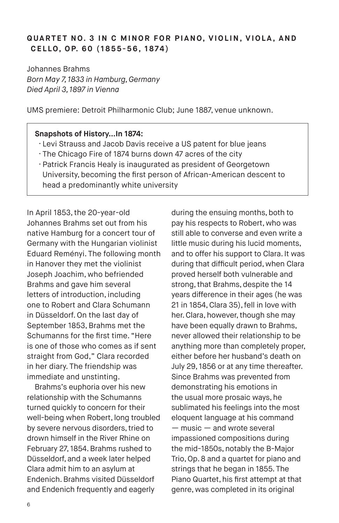# **QUARTET NO. 3 IN C MINOR FOR PIANO, VIOLIN, VIOLA, AND C E L L O, O P. 6 0 ( 1 8 5 5 - 5 6 , 1 8 74 )**

Johannes Brahms *Born May 7, 1833 in Hamburg, Germany Died April 3, 1897 in Vienna*

UMS premiere: Detroit Philharmonic Club; June 1887, venue unknown.

#### **Snapshots of History…In 1874:**

- · Levi Strauss and Jacob Davis receive a US patent for blue jeans
- · The Chicago Fire of 1874 burns down 47 acres of the city
- · Patrick Francis Healy is inaugurated as president of Georgetown University, becoming the first person of African-American descent to head a predominantly white university

In April 1853, the 20-year-old Johannes Brahms set out from his native Hamburg for a concert tour of Germany with the Hungarian violinist Eduard Reményi. The following month in Hanover they met the violinist Joseph Joachim, who befriended Brahms and gave him several letters of introduction, including one to Robert and Clara Schumann in Düsseldorf. On the last day of September 1853, Brahms met the Schumanns for the first time. "Here is one of those who comes as if sent straight from God," Clara recorded in her diary. The friendship was immediate and unstinting.

Brahms's euphoria over his new relationship with the Schumanns turned quickly to concern for their well-being when Robert, long troubled by severe nervous disorders, tried to drown himself in the River Rhine on February 27, 1854. Brahms rushed to Düsseldorf, and a week later helped Clara admit him to an asylum at Endenich. Brahms visited Düsseldorf and Endenich frequently and eagerly

during the ensuing months, both to pay his respects to Robert, who was still able to converse and even write a little music during his lucid moments, and to offer his support to Clara. It was during that difficult period, when Clara proved herself both vulnerable and strong, that Brahms, despite the 14 years difference in their ages (he was 21 in 1854, Clara 35), fell in love with her. Clara, however, though she may have been equally drawn to Brahms, never allowed their relationship to be anything more than completely proper, either before her husband's death on July 29, 1856 or at any time thereafter. Since Brahms was prevented from demonstrating his emotions in the usual more prosaic ways, he sublimated his feelings into the most eloquent language at his command — music — and wrote several impassioned compositions during the mid-1850s, notably the B-Major Trio, Op. 8 and a quartet for piano and strings that he began in 1855. The Piano Quartet, his first attempt at that genre, was completed in its original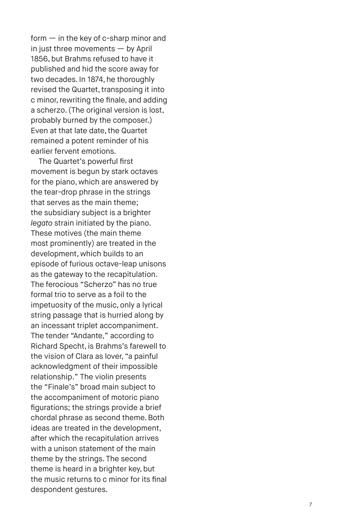form — in the key of c-sharp minor and in just three movements  $-$  by April 1856, but Brahms refused to have it published and hid the score away for two decades. In 1874, he thoroughly revised the Quartet, transposing it into c minor, rewriting the finale, and adding a scherzo. (The original version is lost, probably burned by the composer.) Even at that late date, the Quartet remained a potent reminder of his earlier fervent emotions.

The Quartet's powerful first movement is begun by stark octaves for the piano, which are answered by the tear-drop phrase in the strings that serves as the main theme; the subsidiary subject is a brighter *legato* strain initiated by the piano. These motives (the main theme most prominently) are treated in the development, which builds to an episode of furious octave-leap unisons as the gateway to the recapitulation. The ferocious "Scherzo" has no true formal trio to serve as a foil to the impetuosity of the music, only a lyrical string passage that is hurried along by an incessant triplet accompaniment. The tender "Andante," according to Richard Specht, is Brahms's farewell to the vision of Clara as lover, "a painful acknowledgment of their impossible relationship." The violin presents the "Finale's" broad main subject to the accompaniment of motoric piano figurations; the strings provide a brief chordal phrase as second theme. Both ideas are treated in the development, after which the recapitulation arrives with a unison statement of the main theme by the strings. The second theme is heard in a brighter key, but the music returns to c minor for its final despondent gestures.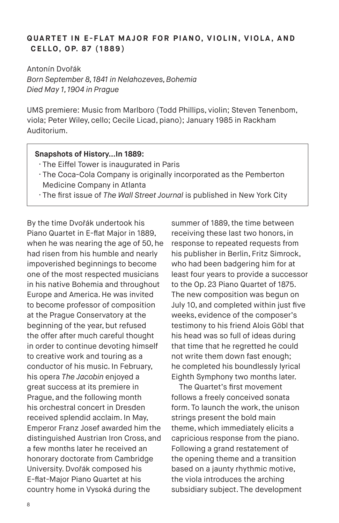# **QUARTET IN E-FLAT MAJOR FOR PIANO, VIOLIN, VIOLA, AND C E L L O, O P. 8 7 ( 1 8 8 9 )**

Antonín Dvořák *Born September 8, 1841 in Nelahozeves, Bohemia Died May 1, 1904 in Prague*

UMS premiere: Music from Marlboro (Todd Phillips, violin; Steven Tenenbom, viola; Peter Wiley, cello; Cecile Licad, piano); January 1985 in Rackham Auditorium.

#### **Snapshots of History…In 1889:**

- · The Eiffel Tower is inaugurated in Paris
- · The Coca-Cola Company is originally incorporated as the Pemberton Medicine Company in Atlanta
- · The first issue of *The Wall Street Journal* is published in New York City

By the time Dvořák undertook his Piano Quartet in E-flat Major in 1889, when he was nearing the age of 50, he had risen from his humble and nearly impoverished beginnings to become one of the most respected musicians in his native Bohemia and throughout Europe and America. He was invited to become professor of composition at the Prague Conservatory at the beginning of the year, but refused the offer after much careful thought in order to continue devoting himself to creative work and touring as a conductor of his music. In February, his opera *The Jacobin* enjoyed a great success at its premiere in Prague, and the following month his orchestral concert in Dresden received splendid acclaim. In May, Emperor Franz Josef awarded him the distinguished Austrian Iron Cross, and a few months later he received an honorary doctorate from Cambridge University. Dvořák composed his E-flat-Major Piano Quartet at his country home in Vysoká during the

summer of 1889, the time between receiving these last two honors, in response to repeated requests from his publisher in Berlin, Fritz Simrock, who had been badgering him for at least four years to provide a successor to the Op. 23 Piano Quartet of 1875. The new composition was begun on July 10, and completed within just five weeks, evidence of the composer's testimony to his friend Alois Göbl that his head was so full of ideas during that time that he regretted he could not write them down fast enough; he completed his boundlessly lyrical Eighth Symphony two months later.

The Quartet's first movement follows a freely conceived sonata form. To launch the work, the unison strings present the bold main theme, which immediately elicits a capricious response from the piano. Following a grand restatement of the opening theme and a transition based on a jaunty rhythmic motive, the viola introduces the arching subsidiary subject. The development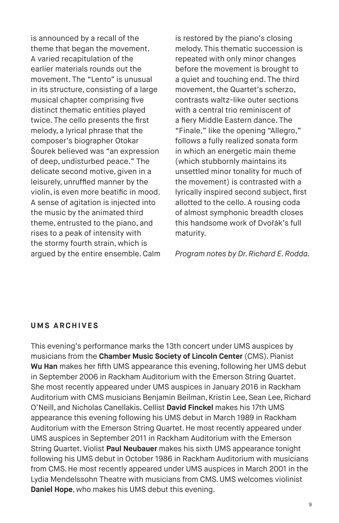is announced by a recall of the theme that began the movement. A varied recapitulation of the earlier materials rounds out the movement. The "Lento" is unusual in its structure, consisting of a large musical chapter comprising five distinct thematic entities played twice. The cello presents the first melody, a lyrical phrase that the composer's biographer Otokar Šourek believed was "an expression of deep, undisturbed peace." The delicate second motive, given in a leisurely, unruffled manner by the violin, is even more beatific in mood. A sense of agitation is injected into the music by the animated third theme, entrusted to the piano, and rises to a peak of intensity with the stormy fourth strain, which is argued by the entire ensemble. Calm is restored by the piano's closing melody. This thematic succession is repeated with only minor changes before the movement is brought to a quiet and touching end. The third movement, the Quartet's scherzo, contrasts waltz-like outer sections with a central trio reminiscent of a fiery Middle Eastern dance. The "Finale," like the opening "Allegro," follows a fully realized sonata form in which an energetic main theme (which stubbornly maintains its unsettled minor tonality for much of the movement) is contrasted with a lyrically inspired second subject, first allotted to the cello. A rousing coda of almost symphonic breadth closes this handsome work of Dvořák's full maturity.

*Program notes by Dr. Richard E. Rodda.*

#### **UMS ARCHIVES**

This evening's performance marks the 13th concert under UMS auspices by musicians from the **Chamber Music Society of Lincoln Center** (CMS). Pianist **Wu Han** makes her fifth UMS appearance this evening, following her UMS debut in September 2006 in Rackham Auditorium with the Emerson String Quartet. She most recently appeared under UMS auspices in January 2016 in Rackham Auditorium with CMS musicians Benjamin Beilman, Kristin Lee, Sean Lee, Richard O'Neill, and Nicholas Canellakis. Cellist **David Finckel** makes his 17th UMS appearance this evening following his UMS debut in March 1989 in Rackham Auditorium with the Emerson String Quartet. He most recently appeared under UMS auspices in September 2011 in Rackham Auditorium with the Emerson String Quartet. Violist **Paul Neubauer** makes his sixth UMS appearance tonight following his UMS debut in October 1986 in Rackham Auditorium with musicians from CMS. He most recently appeared under UMS auspices in March 2001 in the Lydia Mendelssohn Theatre with musicians from CMS. UMS welcomes violinist **Daniel Hope**, who makes his UMS debut this evening.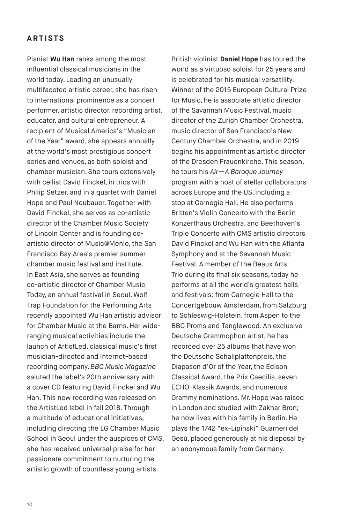## **ARTISTS**

Pianist **Wu Han** ranks among the most influential classical musicians in the world today. Leading an unusually multifaceted artistic career, she has risen to international prominence as a concert performer, artistic director, recording artist, educator, and cultural entrepreneur. A recipient of Musical America's "Musician of the Year" award, she appears annually at the world's most prestigious concert series and venues, as both soloist and chamber musician. She tours extensively with cellist David Finckel, in trios with Philip Setzer, and in a quartet with Daniel Hope and Paul Neubauer. Together with David Finckel, she serves as co-artistic director of the Chamber Music Society of Lincoln Center and is founding coartistic director of Music@Menlo, the San Francisco Bay Area's premier summer chamber music festival and institute. In East Asia, she serves as founding co-artistic director of Chamber Music Today, an annual festival in Seoul. Wolf Trap Foundation for the Performing Arts recently appointed Wu Han artistic advisor for Chamber Music at the Barns. Her wideranging musical activities include the launch of ArtistLed, classical music's first musician-directed and Internet-based recording company. *BBC Music Magazine*  saluted the label's 20th anniversary with a cover CD featuring David Finckel and Wu Han. This new recording was released on the ArtistLed label in fall 2018. Through a multitude of educational initiatives, including directing the LG Chamber Music School in Seoul under the auspices of CMS, she has received universal praise for her passionate commitment to nurturing the artistic growth of countless young artists.

British violinist **Daniel Hope** has toured the world as a virtuoso soloist for 25 years and is celebrated for his musical versatility. Winner of the 2015 European Cultural Prize for Music, he is associate artistic director of the Savannah Music Festival, music director of the Zurich Chamber Orchestra, music director of San Francisco's New Century Chamber Orchestra, and in 2019 begins his appointment as artistic director of the Dresden Frauenkirche. This season, he tours his *Air—A Baroque Journey*  program with a host of stellar collaborators across Europe and the US, including a stop at Carnegie Hall. He also performs Britten's Violin Concerto with the Berlin Konzerthaus Orchestra, and Beethoven's Triple Concerto with CMS artistic directors David Finckel and Wu Han with the Atlanta Symphony and at the Savannah Music Festival. A member of the Beaux Arts Trio during its final six seasons, today he performs at all the world's greatest halls and festivals: from Carnegie Hall to the Concertgebouw Amsterdam, from Salzburg to Schleswig-Holstein, from Aspen to the BBC Proms and Tanglewood. An exclusive Deutsche Grammophon artist, he has recorded over 25 albums that have won the Deutsche Schallplattenpreis, the Diapason d'Or of the Year, the Edison Classical Award, the Prix Caecilia, seven ECHO-Klassik Awards, and numerous Grammy nominations. Mr. Hope was raised in London and studied with Zakhar Bron; he now lives with his family in Berlin. He plays the 1742 "ex-Lipinski" Guarneri del Gesù, placed generously at his disposal by an anonymous family from Germany.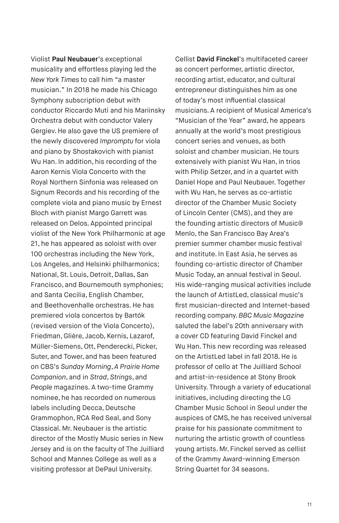Violist **Paul Neubauer**'s exceptional musicality and effortless playing led the *New York Times* to call him "a master musician." In 2018 he made his Chicago Symphony subscription debut with conductor Riccardo Muti and his Mariinsky Orchestra debut with conductor Valery Gergiev. He also gave the US premiere of the newly discovered *Impromptu* for viola and piano by Shostakovich with pianist Wu Han. In addition, his recording of the Aaron Kernis Viola Concerto with the Royal Northern Sinfonia was released on Signum Records and his recording of the complete viola and piano music by Ernest Bloch with pianist Margo Garrett was released on Delos. Appointed principal violist of the New York Philharmonic at age 21, he has appeared as soloist with over 100 orchestras including the New York, Los Angeles, and Helsinki philharmonics; National, St. Louis, Detroit, Dallas, San Francisco, and Bournemouth symphonies; and Santa Cecilia, English Chamber, and Beethovenhalle orchestras. He has premiered viola concertos by Bartók (revised version of the Viola Concerto), Friedman, Glière, Jacob, Kernis, Lazarof, Müller-Siemens, Ott, Penderecki, Picker, Suter, and Tower, and has been featured on CBS's *Sunday Morning*, *A Prairie Home Companion*, and in *Strad*, *Strings*, and *People* magazines. A two-time Grammy nominee, he has recorded on numerous labels including Decca, Deutsche Grammophon, RCA Red Seal, and Sony Classical. Mr. Neubauer is the artistic director of the Mostly Music series in New Jersey and is on the faculty of The Juilliard School and Mannes College as well as a visiting professor at DePaul University.

Cellist **David Finckel**'s multifaceted career as concert performer, artistic director, recording artist, educator, and cultural entrepreneur distinguishes him as one of today's most influential classical musicians. A recipient of Musical America's "Musician of the Year" award, he appears annually at the world's most prestigious concert series and venues, as both soloist and chamber musician. He tours extensively with pianist Wu Han, in trios with Philip Setzer, and in a quartet with Daniel Hope and Paul Neubauer. Together with Wu Han, he serves as co-artistic director of the Chamber Music Society of Lincoln Center (CMS), and they are the founding artistic directors of Music@ Menlo, the San Francisco Bay Area's premier summer chamber music festival and institute. In East Asia, he serves as founding co-artistic director of Chamber Music Today, an annual festival in Seoul. His wide-ranging musical activities include the launch of ArtistLed, classical music's first musician-directed and Internet-based recording company. *BBC Music Magazine*  saluted the label's 20th anniversary with a cover CD featuring David Finckel and Wu Han. This new recording was released on the ArtistLed label in fall 2018. He is professor of cello at The Juilliard School and artist-in-residence at Stony Brook University. Through a variety of educational initiatives, including directing the LG Chamber Music School in Seoul under the auspices of CMS, he has received universal praise for his passionate commitment to nurturing the artistic growth of countless young artists. Mr. Finckel served as cellist of the Grammy Award-winning Emerson String Quartet for 34 seasons.